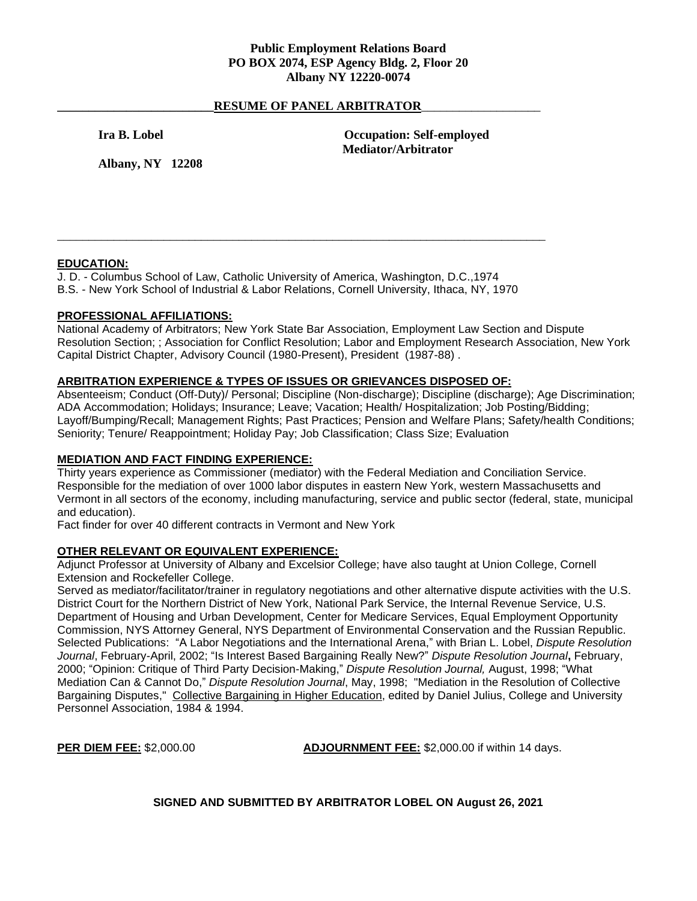## **Public Employment Relations Board PO BOX 2074, ESP Agency Bldg. 2, Floor 20 Albany NY 12220-0074**

## RESUME OF PANEL ARBITRATOR

**Ira B. Lobel Occupation: Self-employed Mediator/Arbitrator**

**Albany, NY 12208**

# **EDUCATION:**

J. D. - Columbus School of Law, Catholic University of America, Washington, D.C.,1974

B.S. - New York School of Industrial & Labor Relations, Cornell University, Ithaca, NY, 1970

\_\_\_\_\_\_\_\_\_\_\_\_\_\_\_\_\_\_\_\_\_\_\_\_\_\_\_\_\_\_\_\_\_\_\_\_\_\_\_\_\_\_\_\_\_\_\_\_\_\_\_\_\_\_\_\_\_\_\_\_\_\_\_\_\_\_\_\_\_\_\_\_\_\_\_\_\_\_

### **PROFESSIONAL AFFILIATIONS:**

National Academy of Arbitrators; New York State Bar Association, Employment Law Section and Dispute Resolution Section; ; Association for Conflict Resolution; Labor and Employment Research Association, New York Capital District Chapter, Advisory Council (1980-Present), President (1987-88) .

## **ARBITRATION EXPERIENCE & TYPES OF ISSUES OR GRIEVANCES DISPOSED OF:**

Absenteeism; Conduct (Off-Duty)/ Personal; Discipline (Non-discharge); Discipline (discharge); Age Discrimination; ADA Accommodation; Holidays; Insurance; Leave; Vacation; Health/ Hospitalization; Job Posting/Bidding; Layoff/Bumping/Recall; Management Rights; Past Practices; Pension and Welfare Plans; Safety/health Conditions; Seniority; Tenure/ Reappointment; Holiday Pay; Job Classification; Class Size; Evaluation

# **MEDIATION AND FACT FINDING EXPERIENCE:**

Thirty years experience as Commissioner (mediator) with the Federal Mediation and Conciliation Service. Responsible for the mediation of over 1000 labor disputes in eastern New York, western Massachusetts and Vermont in all sectors of the economy, including manufacturing, service and public sector (federal, state, municipal and education).

Fact finder for over 40 different contracts in Vermont and New York

### **OTHER RELEVANT OR EQUIVALENT EXPERIENCE:**

Adjunct Professor at University of Albany and Excelsior College; have also taught at Union College, Cornell Extension and Rockefeller College.

Served as mediator/facilitator/trainer in regulatory negotiations and other alternative dispute activities with the U.S. District Court for the Northern District of New York, National Park Service, the Internal Revenue Service, U.S. Department of Housing and Urban Development, Center for Medicare Services, Equal Employment Opportunity Commission, NYS Attorney General, NYS Department of Environmental Conservation and the Russian Republic. Selected Publications: "A Labor Negotiations and the International Arena," with Brian L. Lobel, *Dispute Resolution Journal*, February-April, 2002; "Is Interest Based Bargaining Really New?" *Dispute Resolution Journal***,** February, 2000; "Opinion: Critique of Third Party Decision-Making," *Dispute Resolution Journal,* August, 1998; "What Mediation Can & Cannot Do," *Dispute Resolution Journal*, May, 1998; "Mediation in the Resolution of Collective Bargaining Disputes," Collective Bargaining in Higher Education, edited by Daniel Julius, College and University Personnel Association, 1984 & 1994.

**PER DIEM FEE:** \$2,000.00 **ADJOURNMENT FEE:** \$2,000.00 if within 14 days.

**SIGNED AND SUBMITTED BY ARBITRATOR LOBEL ON August 26, 2021**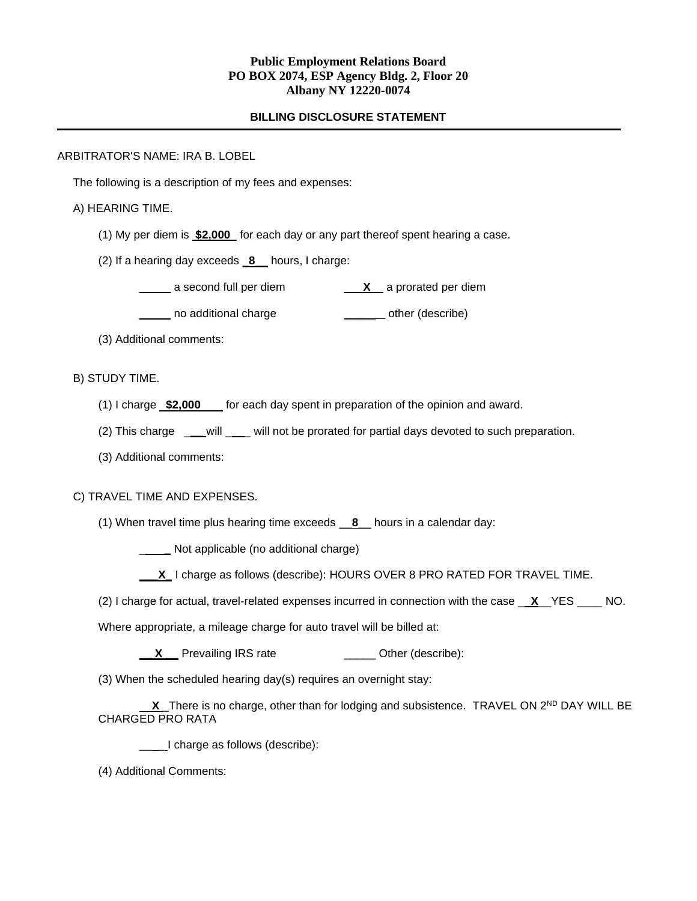# **Public Employment Relations Board PO BOX 2074, ESP Agency Bldg. 2, Floor 20 Albany NY 12220-0074**

## **BILLING DISCLOSURE STATEMENT**

### ARBITRATOR'S NAME: IRA B. LOBEL

The following is a description of my fees and expenses:

## A) HEARING TIME.

- (1) My per diem is **\$2,000** for each day or any part thereof spent hearing a case.
- (2) If a hearing day exceeds \_**8**\_\_ hours, I charge:
	- \_\_\_\_\_ a second full per diem \_\_\_**X**\_\_ a prorated per diem
	- **\_\_\_\_** no additional charge **\_\_\_\_\_\_** other (describe)
- (3) Additional comments:

## B) STUDY TIME.

- (1) I charge **\$2,000** for each day spent in preparation of the opinion and award.
- (2) This charge \_\_\_will \_\_\_ will not be prorated for partial days devoted to such preparation.
- (3) Additional comments:

### C) TRAVEL TIME AND EXPENSES.

(1) When travel time plus hearing time exceeds \_\_**8**\_\_ hours in a calendar day:

\_ **\_** Not applicable (no additional charge)

- **\_\_\_X\_** I charge as follows (describe): HOURS OVER 8 PRO RATED FOR TRAVEL TIME.
- (2) I charge for actual, travel-related expenses incurred in connection with the case \_ **X**\_\_YES \_\_\_\_ NO.

Where appropriate, a mileage charge for auto travel will be billed at:

- **X** Prevailing IRS rate **\_\_\_\_** Other (describe):
- (3) When the scheduled hearing day(s) requires an overnight stay:

**X** There is no charge, other than for lodging and subsistence. TRAVEL ON  $2^{ND}$  DAY WILL BE CHARGED PRO RATA

\_\_\_\_I charge as follows (describe):

(4) Additional Comments: